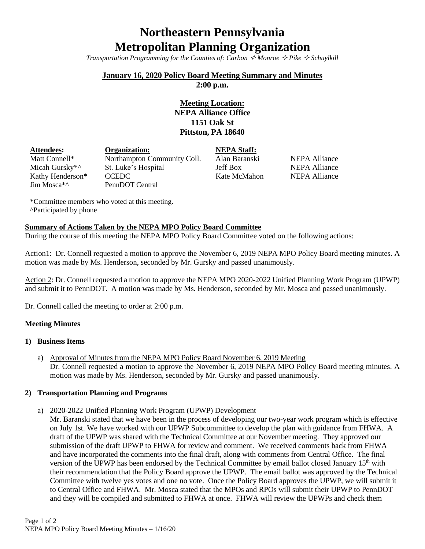# **Northeastern Pennsylvania Metropolitan Planning Organization**

*Transportation Programming for the Counties of: Carbon*  $\Diamond$  *Monroe*  $\Diamond$  *Pike*  $\Diamond$  *Schuylkill* 

### **January 16, 2020 Policy Board Meeting Summary and Minutes**

**2:00 p.m.**

## **Meeting Location: NEPA Alliance Office 1151 Oak St Pittston, PA 18640**

| <b>Attendees:</b>          | Organization:               | <b>NEPA Staff:</b> |
|----------------------------|-----------------------------|--------------------|
| Matt Connell*              | Northampton Community Coll. | Alan Baransk       |
| Micah Gursky <sup>*^</sup> | St. Luke's Hospital         | <b>Jeff Box</b>    |
| Kathy Henderson*           | <b>CCEDC</b>                | Kate McMaho        |
| Jim Mosca <sup>*</sup>     | PennDOT Central             |                    |

anski NEPA Alliance NEPA Alliance Mahon NEPA Alliance

\*Committee members who voted at this meeting. ^Participated by phone

#### **Summary of Actions Taken by the NEPA MPO Policy Board Committee**

During the course of this meeting the NEPA MPO Policy Board Committee voted on the following actions:

Action1: Dr. Connell requested a motion to approve the November 6, 2019 NEPA MPO Policy Board meeting minutes. A motion was made by Ms. Henderson, seconded by Mr. Gursky and passed unanimously.

Action 2: Dr. Connell requested a motion to approve the NEPA MPO 2020-2022 Unified Planning Work Program (UPWP) and submit it to PennDOT. A motion was made by Ms. Henderson, seconded by Mr. Mosca and passed unanimously.

Dr. Connell called the meeting to order at 2:00 p.m.

#### **Meeting Minutes**

#### **1) Business Items**

a) Approval of Minutes from the NEPA MPO Policy Board November 6, 2019 Meeting Dr. Connell requested a motion to approve the November 6, 2019 NEPA MPO Policy Board meeting minutes. A motion was made by Ms. Henderson, seconded by Mr. Gursky and passed unanimously.

#### **2) Transportation Planning and Programs**

a) 2020-2022 Unified Planning Work Program (UPWP) Development

Mr. Baranski stated that we have been in the process of developing our two-year work program which is effective on July 1st. We have worked with our UPWP Subcommittee to develop the plan with guidance from FHWA. A draft of the UPWP was shared with the Technical Committee at our November meeting. They approved our submission of the draft UPWP to FHWA for review and comment. We received comments back from FHWA and have incorporated the comments into the final draft, along with comments from Central Office. The final version of the UPWP has been endorsed by the Technical Committee by email ballot closed January 15<sup>th</sup> with their recommendation that the Policy Board approve the UPWP. The email ballot was approved by the Technical Committee with twelve yes votes and one no vote. Once the Policy Board approves the UPWP, we will submit it to Central Office and FHWA. Mr. Mosca stated that the MPOs and RPOs will submit their UPWP to PennDOT and they will be compiled and submitted to FHWA at once. FHWA will review the UPWPs and check them